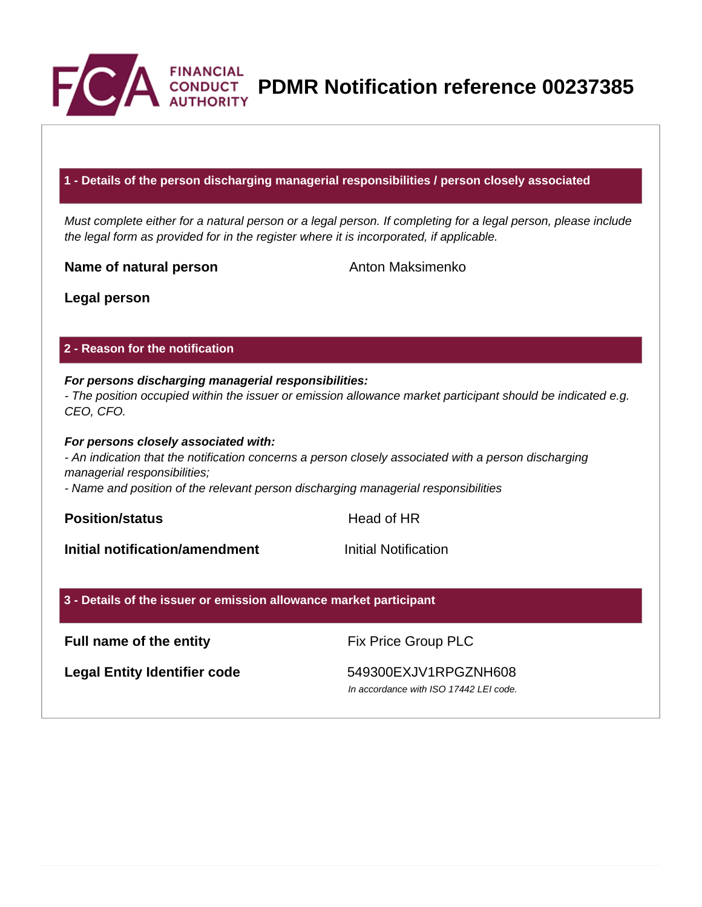

**PDMR Notification reference 00237385**

# **1 - Details of the person discharging managerial responsibilities / person closely associated**

Must complete either for a natural person or a legal person. If completing for a legal person, please include the legal form as provided for in the register where it is incorporated, if applicable.

**Name of natural person** Anton Maksimenko

**Legal person**

## **2 - Reason for the notification**

# **For persons discharging managerial responsibilities:**

- The position occupied within the issuer or emission allowance market participant should be indicated e.g. CEO, CFO.

#### **For persons closely associated with:**

- An indication that the notification concerns a person closely associated with a person discharging managerial responsibilities;

- Name and position of the relevant person discharging managerial responsibilities

**Position/status Head of HR** 

**Initial notification/amendment Initial Notification** 

#### **3 - Details of the issuer or emission allowance market participant**

# **Full name of the entity** Fix Price Group PLC

Legal Entity Identifier code 549300EXJV1RPGZNH608

In accordance with ISO 17442 LEI code.